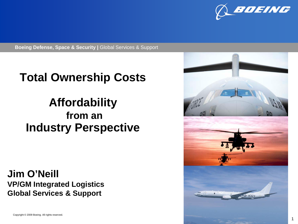

**Boeing Defense, Space & Security | Global Services & Support** 

### **Total Ownership Costs**

### **Affordability from an Industry Perspective**

**Jim O'Neill VP/GM Integrated Logistics Global Services & Support**

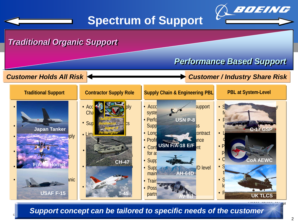

### **Spectrum of Support**

#### **Boeing Defense, Space & Security |** Global Services & Support *Traditional Organic Support*

#### *Performance Based Support*

#### *Customer Holds All Risk Customer / Industry Share Risk*



**Support concept can be tailored to specific needs of the customer**  $\overline{\phantom{a}}$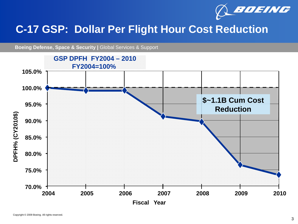

### **C-17 GSP: Dollar Per Flight Hour Cost Reduction**

**Boeing Defense, Space & Security | Global Services & Support** 

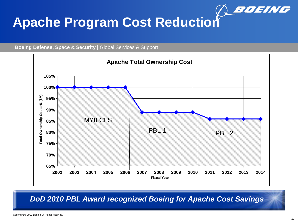

# **Apache Program Cost Reduction**





*DoD 2010 PBL Award recognized Boeing for Apache Cost Savings*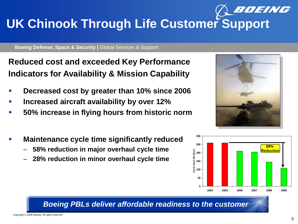## BOEING **UK Chinook Through Life Customer Support**

**Boeing Defense, Space & Security | Global Services & Support** 

**Reduced cost and exceeded Key Performance Indicators for Availability & Mission Capability**

- **Decreased cost by greater than 10% since 2006**
- **Increased aircraft availability by over 12%**
- **50% increase in flying hours from historic norm**
- **Maintenance cycle time significantly reduced**
	- **58% reduction in major overhaul cycle time**
	- **28% reduction in minor overhaul cycle time**





#### *Boeing PBLs deliver affordable readiness to the customer*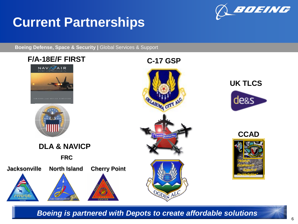# **Current Partnerships**



**Boeing Defense, Space & Security | Global Services & Support** 



**Example 2009 Boeing is partnered with Depots to create affordable solutions**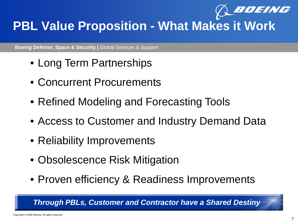

## **PBL Value Proposition - What Makes it Work**

**Boeing Defense, Space & Security | Global Services & Support** 

- Long Term Partnerships
- Concurrent Procurements
- Refined Modeling and Forecasting Tools
- Access to Customer and Industry Demand Data
- Reliability Improvements
- Obsolescence Risk Mitigation
- Proven efficiency & Readiness Improvements

*Through PBLs, Customer and Contractor have a Shared Destiny*